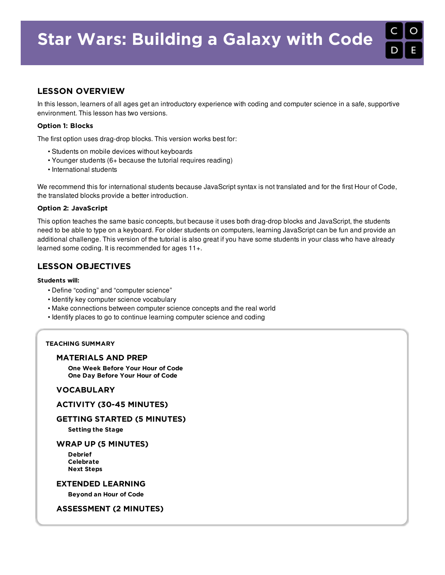# LESSON OVERVIEW

In this lesson, learners of all ages get an introductory experience with coding and computer science in a safe, supportive environment. This lesson has two versions.

## Option 1: Blocks

The first option uses drag-drop blocks. This version works best for:

- Students on mobile devices without keyboards
- Younger students (6+ because the tutorial requires reading)
- International students

We recommend this for international students because JavaScript syntax is not translated and for the first Hour of Code, the translated blocks provide a better introduction.

#### Option 2: JavaScript

This option teaches the same basic concepts, but because it uses both drag-drop blocks and JavaScript, the students need to be able to type on a keyboard. For older students on computers, learning JavaScript can be fun and provide an additional challenge. This version of the tutorial is also great if you have some students in your class who have already learned some coding. It is recommended for ages 11+.

## LESSON OBJECTIVES

#### Students will:

- Define "coding" and "computer science"
- Identify key computer science vocabulary
- Make connections between computer science concepts and the real world
- Identify places to go to continue learning computer science and coding

## TEACHING SUMMARY

#### [MATERIALS](#page-1-0) AND PREP

One Week [Before](#page-1-1) Your Hour of Code One Day [Before](#page-1-2) Your Hour of Code

## [VOCABULARY](#page-1-3)

### ACTIVITY (30-45 [MINUTES\)](#page-1-4)

#### GETTING STARTED (5 [MINUTES\)](#page-1-5)

[Setting](#page-1-6) the Stage

#### WRAP UP (5 [MINUTES\)](#page-2-0)

[Debrief](#page-2-1) [Celebrate](#page-2-2) Next [Steps](#page-2-3)

## EXTENDED [LEARNING](#page-2-4)

[Beyond](#page-2-5) an Hour of Code

#### [ASSESSMENT](#page-3-0) (2 MINUTES)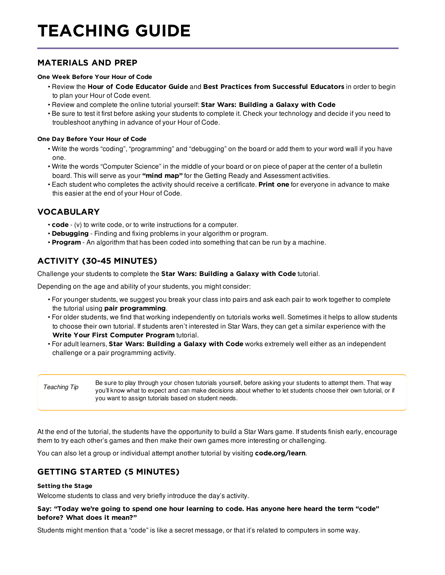# TEACHING GUIDE

# <span id="page-1-0"></span>MATERIALS AND PREP

## <span id="page-1-1"></span>One Week Before Your Hour of Code

- Review the Hour of Code [Educator](http://hourofcode.com/resources/how-to/) Guide and Best Practices from [Successful](http://www.slideshare.net/TeachCode/hour-of-code-best-practices-for-successful-educators-51273466) Educators in order to begin to plan your Hour of Code event.
- Review and complete the online tutorial yourself: Star Wars: [Building](http://hourofcode.com/star) a Galaxy with Code
- Be sure to test it first before asking your students to complete it. Check your technology and decide if you need to troubleshoot anything in advance of your Hour of Code.

## <span id="page-1-2"></span>One Day Before Your Hour of Code

- Write the words "coding", "programming" and "debugging" on the board or add them to your word wall if you have one.
- Write the words "Computer Science" in the middle of your board or on piece of paper at the center of a bulletin board. This will serve as your ["mind](https://en.wikipedia.org/wiki/Mind_map) map" for the Getting Ready and Assessment activities.
- Each student who completes the activity should receive a certificate. [Print](http://code.org/certificates) one for everyone in advance to make this easier at the end of your Hour of Code.

# <span id="page-1-3"></span>VOCABULARY

- code (v) to write code, or to write instructions for a computer.
- Debugging Finding and fixing problems in your algorithm or program.
- Program An algorithm that has been coded into something that can be run by a machine.

# <span id="page-1-4"></span>ACTIVITY (30-45 MINUTES)

Challenge your students to complete the Star Wars: [Building](http://hourofcode.com/sw) a Galaxy with Code tutorial.

Depending on the age and ability of your students, you might consider:

- For younger students, we suggest you break your class into pairs and ask each pair to work together to complete the tutorial using pair [programming](https://youtu.be/vgkahOzFH2Q).
- For older students, we find that working independently on tutorials works well. Sometimes it helps to allow students to choose their own tutorial. If students aren't interested in Star Wars, they can get a similar experience with the Write Your First [Computer](https://studio.code.org/hoc/1) Program tutorial.
- For adult learners, Star Wars: [Building](http://hourofcode.com/star) a Galaxy with Code works extremely well either as an independent challenge or a pair programming activity.

*Teaching Tip* Be sure to play through your chosen tutorials yourself, before asking your students to attempt them. That way you'll know what to expect and can make decisions about whether to let students choose their own tutorial, or if you want to assign tutorials based on student needs.

At the end of the tutorial, the students have the opportunity to build a Star Wars game. If students finish early, encourage them to try each other's games and then make their own games more interesting or challenging.

You can also let a group or individual attempt another tutorial by visiting [code.org/learn](http://code.org/learn).

# <span id="page-1-5"></span>GETTING STARTED (5 MINUTES)

#### <span id="page-1-6"></span>Setting the Stage

Welcome students to class and very briefly introduce the day's activity.

## Say: "Today we're going to spend one hour learning to code. Has anyone here heard the term "code" before? What does it mean?"

Students might mention that a "code" is like a secret message, or that it's related to computers in some way.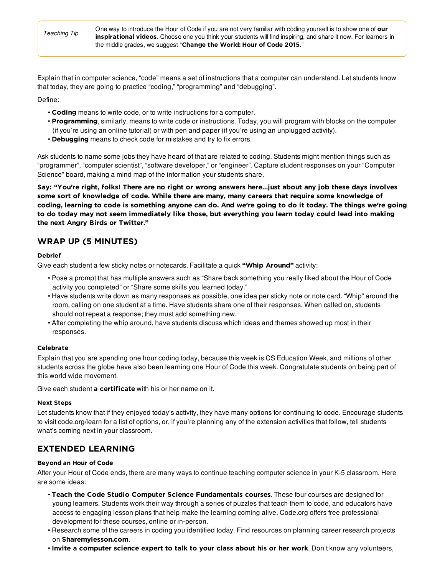One way to introduce the Hour of Code if you are not very familiar with coding yourself is to show one of our [inspirational](https://hourofcode.com/us/resources#videos) videos. Choose one you think your students will find inspiring, and share it now. For learners in the middle grades, we suggest "[Change](https://youtu.be/BvRvluhfzf0?list=PLzdnOPI1iJNfpD8i4Sx7U0y2MccnrNZuP) the World: Hour of Code 2015."

Explain that in computer science, "code" means a set of instructions that a computer can understand. Let students know that today, they are going to practice "coding," "programming" and "debugging".

Define:

- Coding means to write code, or to write instructions for a computer.
- Programming, similarly, means to write code or instructions. Today, you will program with blocks on the computer (if you're using an online tutorial) or with pen and paper (if you're using an unplugged activity).
- Debugging means to check code for mistakes and try to fix errors.

Ask students to name some jobs they have heard of that are related to coding. Students might mention things such as "programmer", "computer scientist", "software developer," or "engineer". Capture student responses on your "Computer Science" board, making a mind map of the information your students share.

Say: "You're right, folks! There are no right or wrong answers here…just about any job these days involves some sort of knowledge of code. While there are many, many careers that require some knowledge of coding, learning to code is something anyone can do. And we're going to do it today. The things we're going to do today may not seem immediately like those, but everything you learn today could lead into making the next Angry Birds or Twitter."

# <span id="page-2-0"></span>WRAP UP (5 MINUTES)

## <span id="page-2-1"></span>Debrief

Give each student a few sticky notes or notecards. Facilitate a quick "Whip [Around"](http://www.theteachertoolkit.com/index.php/tool/whip-around) activity:

- Pose a prompt that has multiple answers such as "Share back something you really liked about the Hour of Code activity you completed" or "Share some skills you learned today."
- Have students write down as many responses as possible, one idea per sticky note or note card. "Whip" around the room, calling on one student at a time. Have students share one of their responses. When called on, students should not repeat a response; they must add something new.
- After completing the whip around, have students discuss which ideas and themes showed up most in their responses.

#### <span id="page-2-2"></span>Celebrate

Explain that you are spending one hour coding today, because this week is CS Education Week, and millions of other students across the globe have also been learning one Hour of Code this week. Congratulate students on being part of this world wide movement.

Give each student **a [certificate](http://code.org/certificates)** with his or her name on it.

#### <span id="page-2-3"></span>Next Steps

Let students know that if they enjoyed today's activity, they have many options for continuing to code. Encourage students to visit code.org/learn for a list of options, or, if you're planning any of the extension activities that follow, tell students what's coming next in your classroom.

# <span id="page-2-4"></span>EXTENDED LEARNING

#### <span id="page-2-5"></span>Beyond an Hour of Code

After your Hour of Code ends, there are many ways to continue teaching computer science in your K-5 classroom. Here are some ideas:

- Teach the Code Studio Computer Science [Fundamentals](http://code.org/educate/k5) courses. These four courses are designed for young learners. Students work their way through a series of puzzles that teach them to code, and educators have access to engaging lesson plans that help make the learning coming alive. Code.org offers free professional development for these courses, online or in-person.
- Research some of the careers in coding you identified today. Find resources on planning career research projects on [Sharemylesson.com](http://www.sharemylesson.com/TaxonomySearchResults.aspx?area=resources&keywords=career+research).
- Invite a computer science expert to talk to your class about his or her work. Don't know any volunteers,